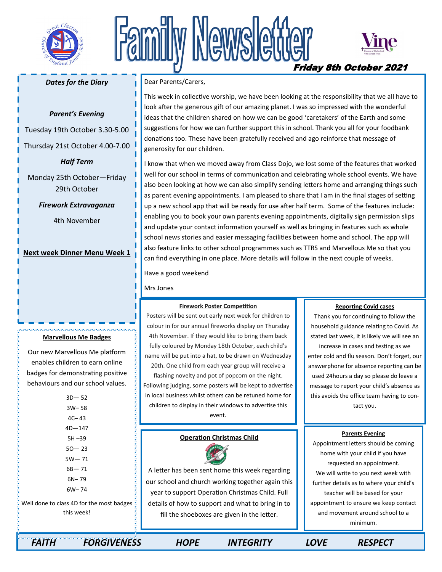

# Newslet Friday 8th October 2021



## *Dates for the Diary*

## *Parent's Evening*

Tuesday 19th October 3.30-5.00

Thursday 21st October 4.00-7.00

*Half Term* 

Monday 25th October—Friday 29th October

*Firework Extravaganza* 

4th November

**Next week Dinner Menu Week 1** 

#### **Marvellous Me Badges**

Our new Marvellous Me platform enables children to earn online badges for demonstrating positive behaviours and our school values.

| $3D - 52$                 |
|---------------------------|
| $3W - 58$                 |
| $4C - 43$                 |
| $4D - 147$                |
| $5H - 39$                 |
| $50 - 23$                 |
| 5W— 71                    |
| $6B - 71$                 |
| $6N - 79$                 |
| $6W - 74$                 |
| $\sim$ $\Lambda$ D fartha |

Well done to class 4D for the most badges this week!

### Dear Parents/Carers,

This week in collective worship, we have been looking at the responsibility that we all have to look after the generous gift of our amazing planet. I was so impressed with the wonderful ideas that the children shared on how we can be good 'caretakers' of the Earth and some suggestions for how we can further support this in school. Thank you all for your foodbank donations too. These have been gratefully received and ago reinforce that message of generosity for our children.

I know that when we moved away from Class Dojo, we lost some of the features that worked well for our school in terms of communication and celebrating whole school events. We have also been looking at how we can also simplify sending letters home and arranging things such as parent evening appointments. I am pleased to share that I am in the final stages of setting up a new school app that will be ready for use after half term. Some of the features include: enabling you to book your own parents evening appointments, digitally sign permission slips and update your contact information yourself as well as bringing in features such as whole school news stories and easier messaging facilities between home and school. The app will also feature links to other school programmes such as TTRS and Marvellous Me so that you can find everything in one place. More details will follow in the next couple of weeks.

Have a good weekend

Mrs Jones

#### **Firework Poster Competition**

Posters will be sent out early next week for children to colour in for our annual fireworks display on Thursday 4th November. If they would like to bring them back fully coloured by Monday 18th October, each child's name will be put into a hat, to be drawn on Wednesday 20th. One child from each year group will receive a flashing novelty and pot of popcorn on the night. Following judging, some posters will be kept to advertise in local business whilst others can be retuned home for children to display in their windows to advertise this event.

## **Operation Christmas Child**



A letter has been sent home this week regarding our school and church working together again this year to support Operation Christmas Child. Full details of how to support and what to bring in to fill the shoeboxes are given in the letter.

#### **Reporting Covid cases**

Thank you for continuing to follow the household guidance relating to Covid. As stated last week, it is likely we will see an increase in cases and testing as we enter cold and flu season. Don't forget, our answerphone for absence reporting can be used 24hours a day so please do leave a message to report your child's absence as this avoids the office team having to contact you.

### **Parents Evening**

Appointment letters should be coming home with your child if you have requested an appointment. We will write to you next week with further details as to where your child's teacher will be based for your appointment to ensure we keep contact and movement around school to a minimum.

 *FAITH FORGIVENESS HOPE INTEGRITY LOVE RESPECT*